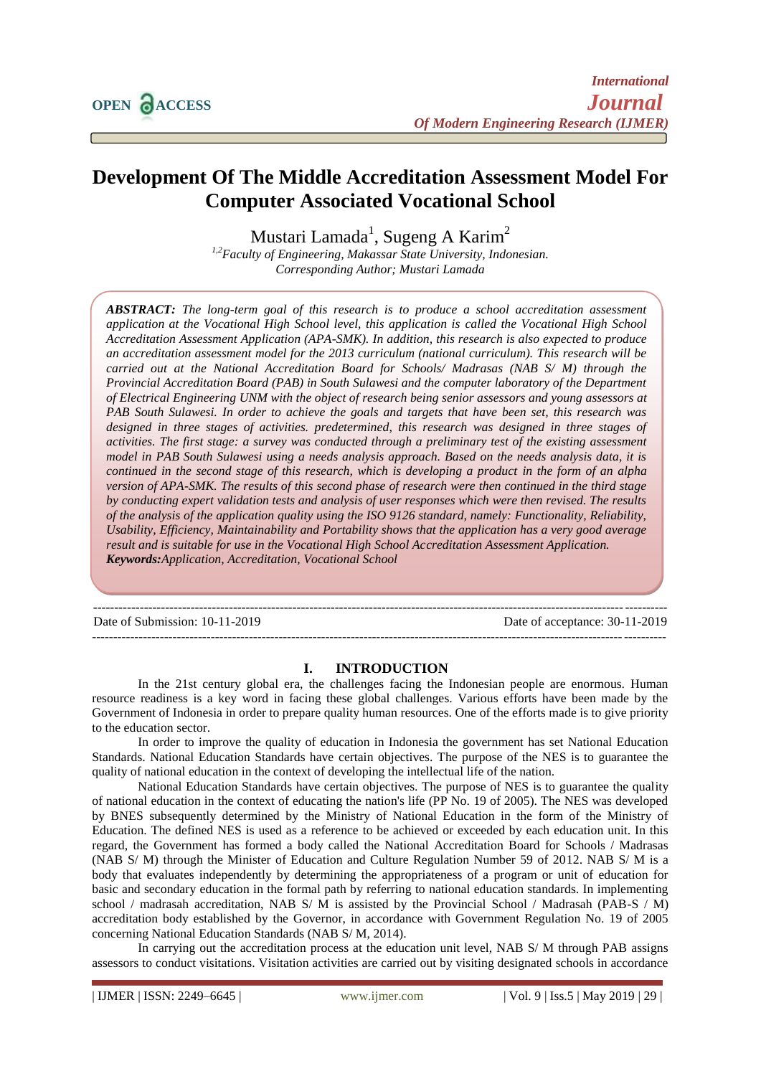# **Development Of The Middle Accreditation Assessment Model For Computer Associated Vocational School**

Mustari Lamada<sup>1</sup>, Sugeng A Karim<sup>2</sup>

*1,2Faculty of Engineering, Makassar State University, Indonesian. Corresponding Author; Mustari Lamada*

*ABSTRACT: The long-term goal of this research is to produce a school accreditation assessment application at the Vocational High School level, this application is called the Vocational High School Accreditation Assessment Application (APA-SMK). In addition, this research is also expected to produce an accreditation assessment model for the 2013 curriculum (national curriculum). This research will be carried out at the National Accreditation Board for Schools/ Madrasas (NAB S/ M) through the Provincial Accreditation Board (PAB) in South Sulawesi and the computer laboratory of the Department of Electrical Engineering UNM with the object of research being senior assessors and young assessors at PAB South Sulawesi. In order to achieve the goals and targets that have been set, this research was designed in three stages of activities. predetermined, this research was designed in three stages of activities. The first stage: a survey was conducted through a preliminary test of the existing assessment model in PAB South Sulawesi using a needs analysis approach. Based on the needs analysis data, it is continued in the second stage of this research, which is developing a product in the form of an alpha version of APA-SMK. The results of this second phase of research were then continued in the third stage by conducting expert validation tests and analysis of user responses which were then revised. The results of the analysis of the application quality using the ISO 9126 standard, namely: Functionality, Reliability, Usability, Efficiency, Maintainability and Portability shows that the application has a very good average result and is suitable for use in the Vocational High School Accreditation Assessment Application. Keywords:Application, Accreditation, Vocational School*

--------------------------------------------------------------------------------------------------------------------------------------- Date of Submission: 10-11-2019 Date of acceptance: 30-11-2019 ---------------------------------------------------------------------------------------------------------------------------------------

## **I. INTRODUCTION**

In the 21st century global era, the challenges facing the Indonesian people are enormous. Human resource readiness is a key word in facing these global challenges. Various efforts have been made by the Government of Indonesia in order to prepare quality human resources. One of the efforts made is to give priority to the education sector.

In order to improve the quality of education in Indonesia the government has set National Education Standards. National Education Standards have certain objectives. The purpose of the NES is to guarantee the quality of national education in the context of developing the intellectual life of the nation.

National Education Standards have certain objectives. The purpose of NES is to guarantee the quality of national education in the context of educating the nation's life (PP No. 19 of 2005). The NES was developed by BNES subsequently determined by the Ministry of National Education in the form of the Ministry of Education. The defined NES is used as a reference to be achieved or exceeded by each education unit. In this regard, the Government has formed a body called the National Accreditation Board for Schools / Madrasas (NAB S/ M) through the Minister of Education and Culture Regulation Number 59 of 2012. NAB S/ M is a body that evaluates independently by determining the appropriateness of a program or unit of education for basic and secondary education in the formal path by referring to national education standards. In implementing school / madrasah accreditation, NAB S/ M is assisted by the Provincial School / Madrasah (PAB-S / M) accreditation body established by the Governor, in accordance with Government Regulation No. 19 of 2005 concerning National Education Standards (NAB S/ M, 2014).

In carrying out the accreditation process at the education unit level, NAB S/ M through PAB assigns assessors to conduct visitations. Visitation activities are carried out by visiting designated schools in accordance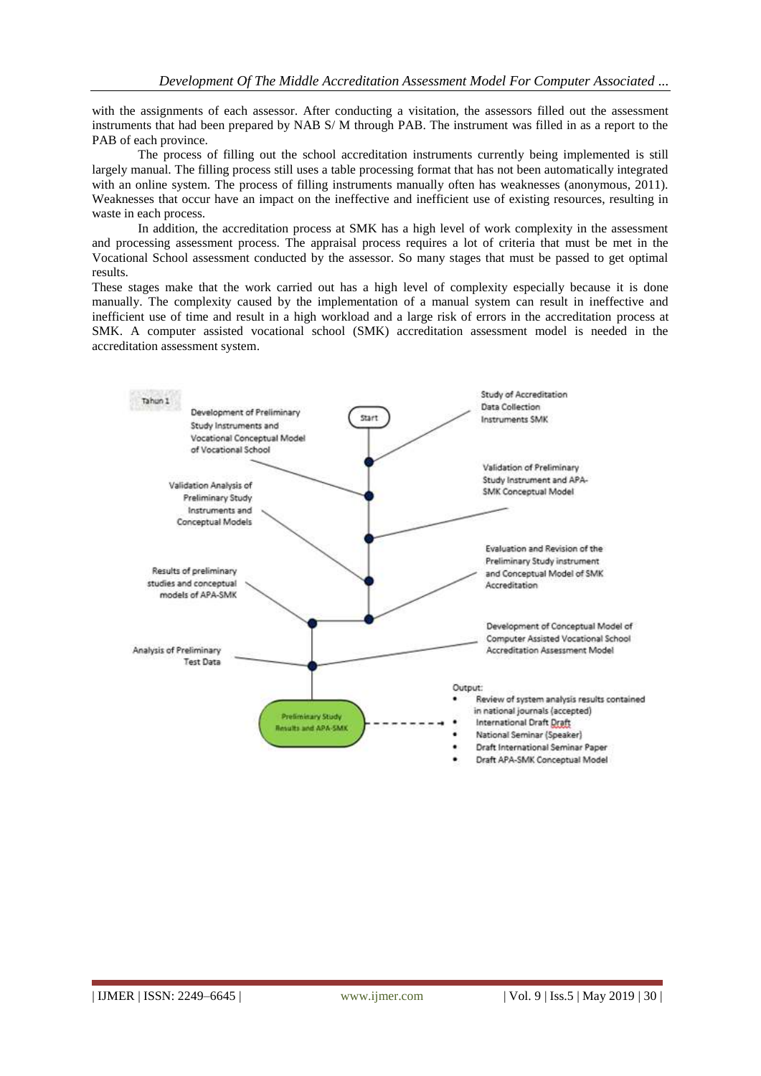with the assignments of each assessor. After conducting a visitation, the assessors filled out the assessment instruments that had been prepared by NAB S/ M through PAB. The instrument was filled in as a report to the PAB of each province.

The process of filling out the school accreditation instruments currently being implemented is still largely manual. The filling process still uses a table processing format that has not been automatically integrated with an online system. The process of filling instruments manually often has weaknesses (anonymous, 2011). Weaknesses that occur have an impact on the ineffective and inefficient use of existing resources, resulting in waste in each process.

In addition, the accreditation process at SMK has a high level of work complexity in the assessment and processing assessment process. The appraisal process requires a lot of criteria that must be met in the Vocational School assessment conducted by the assessor. So many stages that must be passed to get optimal results.

These stages make that the work carried out has a high level of complexity especially because it is done manually. The complexity caused by the implementation of a manual system can result in ineffective and inefficient use of time and result in a high workload and a large risk of errors in the accreditation process at SMK. A computer assisted vocational school (SMK) accreditation assessment model is needed in the accreditation assessment system.

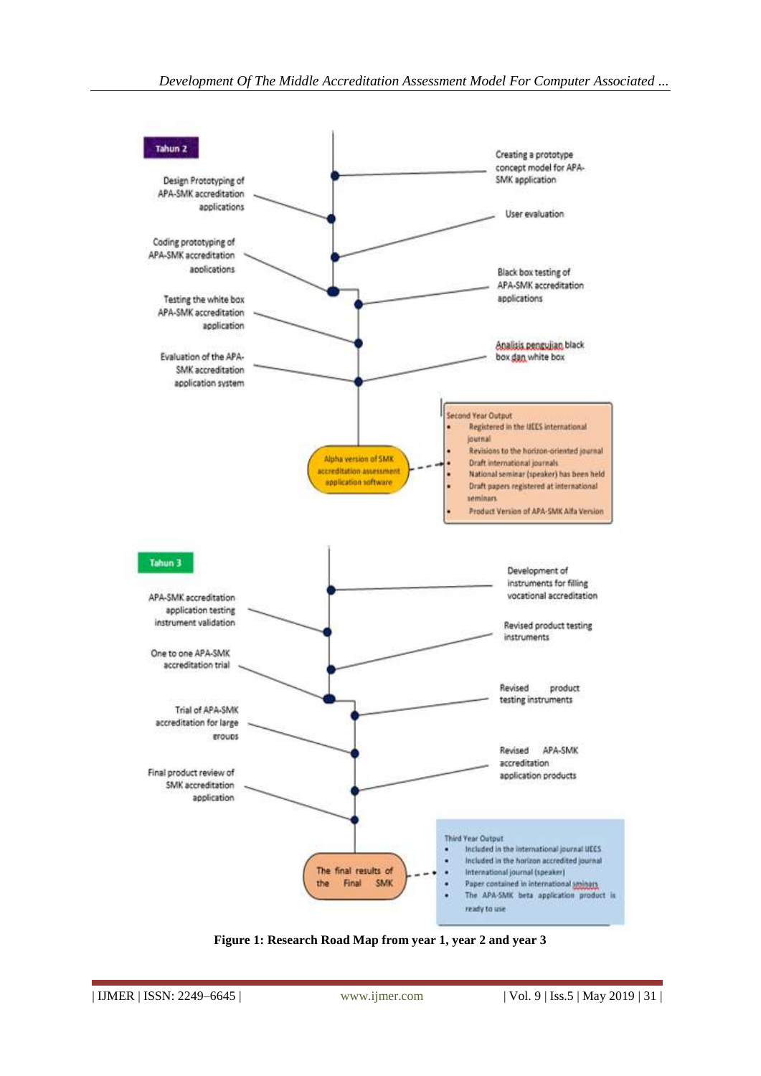

**Figure 1: Research Road Map from year 1, year 2 and year 3**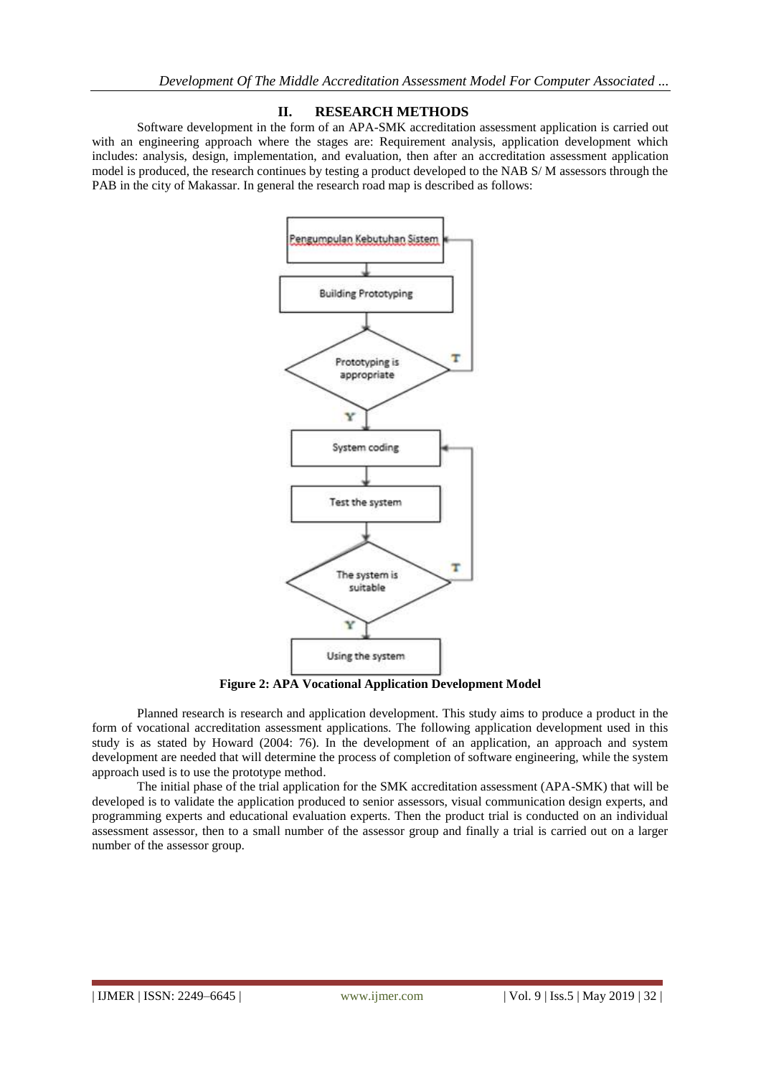# **II. RESEARCH METHODS**

Software development in the form of an APA-SMK accreditation assessment application is carried out with an engineering approach where the stages are: Requirement analysis, application development which includes: analysis, design, implementation, and evaluation, then after an accreditation assessment application model is produced, the research continues by testing a product developed to the NAB S/ M assessors through the PAB in the city of Makassar. In general the research road map is described as follows:



**Figure 2: APA Vocational Application Development Model**

Planned research is research and application development. This study aims to produce a product in the form of vocational accreditation assessment applications. The following application development used in this study is as stated by Howard (2004: 76). In the development of an application, an approach and system development are needed that will determine the process of completion of software engineering, while the system approach used is to use the prototype method.

The initial phase of the trial application for the SMK accreditation assessment (APA-SMK) that will be developed is to validate the application produced to senior assessors, visual communication design experts, and programming experts and educational evaluation experts. Then the product trial is conducted on an individual assessment assessor, then to a small number of the assessor group and finally a trial is carried out on a larger number of the assessor group.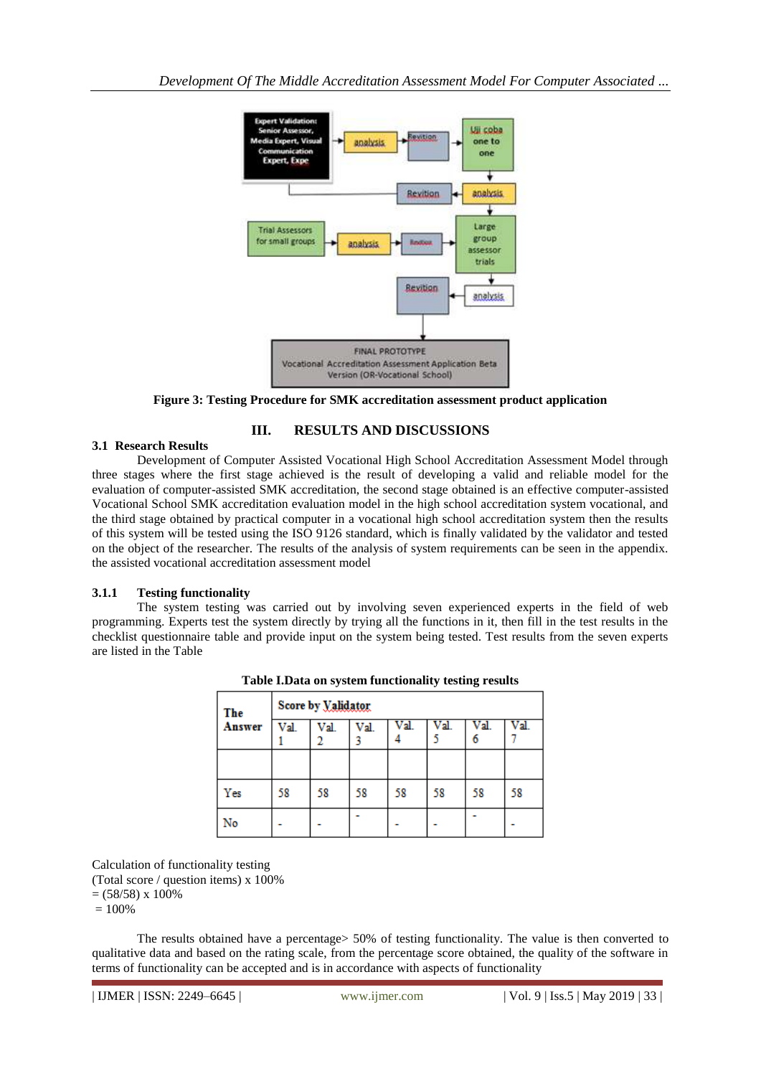

**Figure 3: Testing Procedure for SMK accreditation assessment product application**

# **III. RESULTS AND DISCUSSIONS**

# **3.1 Research Results**

Development of Computer Assisted Vocational High School Accreditation Assessment Model through three stages where the first stage achieved is the result of developing a valid and reliable model for the evaluation of computer-assisted SMK accreditation, the second stage obtained is an effective computer-assisted Vocational School SMK accreditation evaluation model in the high school accreditation system vocational, and the third stage obtained by practical computer in a vocational high school accreditation system then the results of this system will be tested using the ISO 9126 standard, which is finally validated by the validator and tested on the object of the researcher. The results of the analysis of system requirements can be seen in the appendix. the assisted vocational accreditation assessment model

# **3.1.1 Testing functionality**

The system testing was carried out by involving seven experienced experts in the field of web programming. Experts test the system directly by trying all the functions in it, then fill in the test results in the checklist questionnaire table and provide input on the system being tested. Test results from the seven experts are listed in the Table

| The    | Score by Validator. |      |      |      |      |      |     |
|--------|---------------------|------|------|------|------|------|-----|
| Answer | Val.                | Val. | Val. | Val. | Val. | Val. | 7al |
|        |                     |      |      |      |      |      |     |
| Yes    | 58                  | 58   | 58   | 58   | 58   | 58   | 58  |
| No     |                     |      |      |      |      |      |     |

|  |  |  | Table I.Data on system functionality testing results |
|--|--|--|------------------------------------------------------|
|--|--|--|------------------------------------------------------|

Calculation of functionality testing (Total score / question items) x 100%  $= (58/58) \times 100\%$ 

 $= 100\%$ 

The results obtained have a percentage> 50% of testing functionality. The value is then converted to qualitative data and based on the rating scale, from the percentage score obtained, the quality of the software in terms of functionality can be accepted and is in accordance with aspects of functionality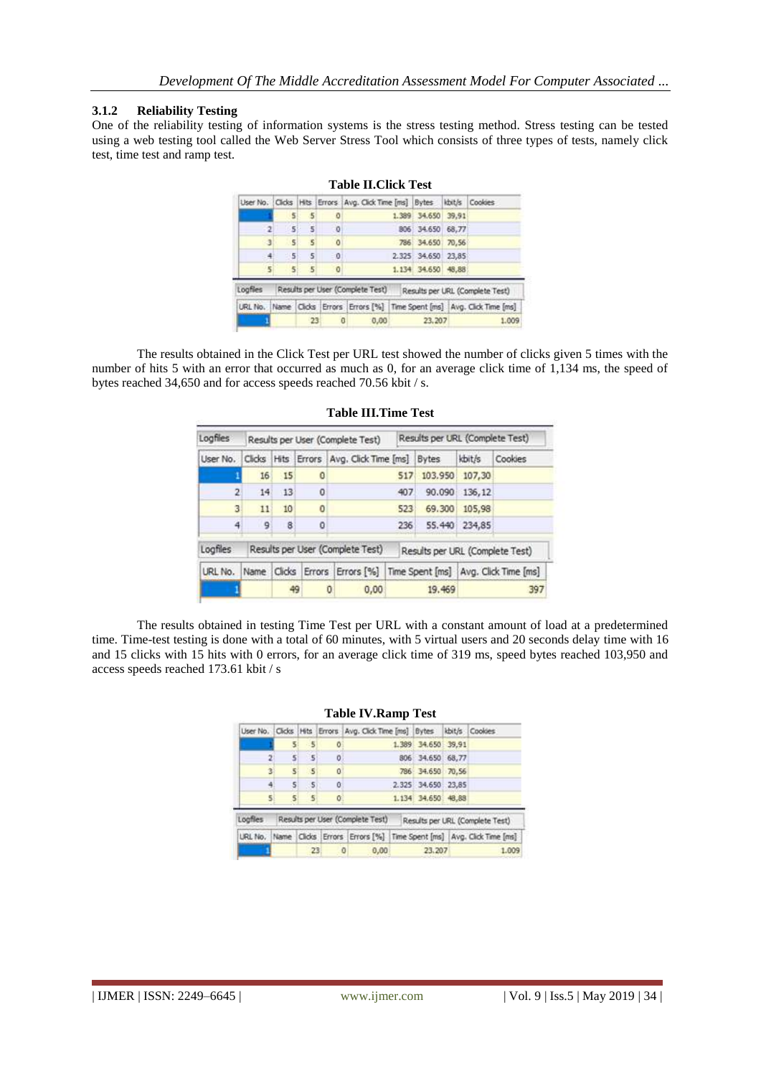# **3.1.2 Reliability Testing**

One of the reliability testing of information systems is the stress testing method. Stress testing can be tested using a web testing tool called the Web Server Stress Tool which consists of three types of tests, namely click test, time test and ramp test.

|                |                |    |                   | User No. Clicks Hits Errors Avg. Click Time [ms] Bytes kbit/s Cookies |                    |                                                                                        |
|----------------|----------------|----|-------------------|-----------------------------------------------------------------------|--------------------|----------------------------------------------------------------------------------------|
|                | 5              | 5  | o                 |                                                                       | 1.389 34.650 39,91 |                                                                                        |
| $\overline{2}$ | 5              | 5  | o                 |                                                                       | 806 34.650 68,77   |                                                                                        |
| <b>J</b>       | $\overline{5}$ | 5  | $\circ$           |                                                                       | 786 34,650 70,56   |                                                                                        |
| 4              | $-5$           | 5  | $-0$              |                                                                       | 2.325 34.650 23,85 |                                                                                        |
| 5              | 5              | 5  | $\ddot{\text{o}}$ |                                                                       | 1,134 34,650 48,88 |                                                                                        |
| Loafiles       |                |    |                   | Results per User (Complete Test)                                      |                    | Results per URL (Complete Test)                                                        |
|                |                |    |                   |                                                                       |                    | URL No.   Name   Clicks   Errors   Errors [%]   Time Spent [ms]   Avg. Click Time [ms] |
|                |                | 23 | O                 | 0.00                                                                  | 23, 207            | 1.009                                                                                  |

#### **Table II.Click Test**

The results obtained in the Click Test per URL test showed the number of clicks given 5 times with the number of hits 5 with an error that occurred as much as 0, for an average click time of 1,134 ms, the speed of bytes reached 34,650 and for access speeds reached 70.56 kbit / s.

| Loafiles       |             | Results per User (Complete Test) |   |                                                              |     | Results per URL (Complete Test) |        |         |  |
|----------------|-------------|----------------------------------|---|--------------------------------------------------------------|-----|---------------------------------|--------|---------|--|
| User No.       | Clicks      | <b>Hits</b>                      |   | Errors   Avg. Click Time [ms]                                |     | <b>Bytes</b>                    | kbit/s | Cookies |  |
|                | 16          | 15                               | 0 |                                                              | 517 | 103.950                         | 107,30 |         |  |
| $\overline{2}$ | 14          | 13                               | 0 |                                                              | 407 | 90.090                          | 136.12 |         |  |
| 3              | 11          | 10                               | 0 | 69.300<br>523                                                |     | 105,98                          |        |         |  |
| 4              | 9           | 8                                | ö |                                                              | 236 | 55.440                          | 234,85 |         |  |
| Logfiles       |             |                                  |   | Results per User (Complete Test)                             |     | Results per URL (Complete Test) |        |         |  |
| URL No.        | <b>Name</b> | Clicks                           |   | Errors   Errors [%]   Time Spent [ms]   Avg. Click Time [ms] |     |                                 |        |         |  |
|                |             | 49                               | 0 | 0.00                                                         |     | 19.469                          |        | 397     |  |

## **Table III.Time Test**

The results obtained in testing Time Test per URL with a constant amount of load at a predetermined time. Time-test testing is done with a total of 60 minutes, with 5 virtual users and 20 seconds delay time with 16 and 15 clicks with 15 hits with 0 errors, for an average click time of 319 ms, speed bytes reached 103,950 and access speeds reached 173.61 kbit / s

|          |                     |           |          | - - - - - - - - - - - - - - - - - -                                   |                    |                                                                                        |
|----------|---------------------|-----------|----------|-----------------------------------------------------------------------|--------------------|----------------------------------------------------------------------------------------|
|          |                     |           |          | User No. Clicks Hits Errors Avg. Click Time [ms] Bytes kbit/s Cookies |                    |                                                                                        |
|          | s.                  | .5        | Ō        |                                                                       | 1.389 34.650 39.91 |                                                                                        |
|          | 5<br>21             | $-5.$     | $\circ$  |                                                                       | 806 34.650 68,77   |                                                                                        |
|          | 5<br>3 <sup>1</sup> | $\cdot$ 5 | $\theta$ |                                                                       | 786 34.650 70.56   |                                                                                        |
|          | 5 <sup>1</sup>      | $\cdot$ 5 | Θ        |                                                                       | 2.325 34.650 23,85 |                                                                                        |
|          | 51<br>5             | 5         | ō        |                                                                       | 1,134 34,650 48,88 |                                                                                        |
| Logfiles |                     |           |          | Results per User (Complete Test)                                      |                    | Results per URL (Complete Test)                                                        |
|          |                     |           |          |                                                                       |                    | URL No.   Name   Clicks   Errors   Errors [%]   Time Spent [ms]   Avg. Click Time [ms] |
|          |                     | 23        | Ð        | 0.00                                                                  | 23, 207            | 1.009                                                                                  |

# **Table IV.Ramp Test**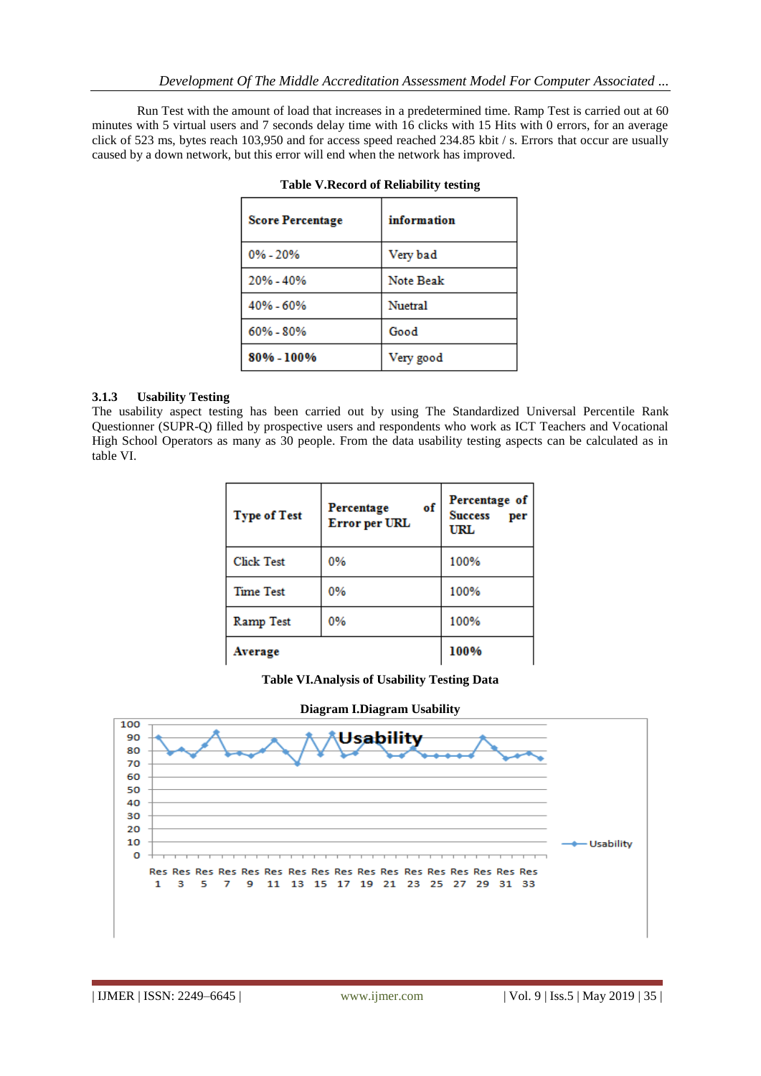Run Test with the amount of load that increases in a predetermined time. Ramp Test is carried out at 60 minutes with 5 virtual users and 7 seconds delay time with 16 clicks with 15 Hits with 0 errors, for an average click of 523 ms, bytes reach 103,950 and for access speed reached 234.85 kbit / s. Errors that occur are usually caused by a down network, but this error will end when the network has improved.

| <b>Score Percentage</b> | information      |
|-------------------------|------------------|
| $0\% - 20\%$            | Very bad         |
| 20% - 40%               | <b>Note Beak</b> |
| 40% - 60%               | Nuetral          |
| $60\% - 80\%$           | Good             |
| 80% - 100%              | Very good        |

# **Table V.Record of Reliability testing**

# **3.1.3 Usability Testing**

The usability aspect testing has been carried out by using The Standardized Universal Percentile Rank Questionner (SUPR-Q) filled by prospective users and respondents who work as ICT Teachers and Vocational High School Operators as many as 30 people. From the data usability testing aspects can be calculated as in table VI.

| <b>Type of Test</b> | of<br>Percentage<br>Error per URL | Percentage of<br><b>Success</b><br>per<br>URL |
|---------------------|-----------------------------------|-----------------------------------------------|
| <b>Click Test</b>   | 0%                                | 100%                                          |
| <b>Time Test</b>    | 0%                                | 100%                                          |
| Ramp Test           | 0%                                | 100%                                          |
| Average             |                                   | 100%                                          |

**Table VI.Analysis of Usability Testing Data**



#### **Diagram I.Diagram Usability**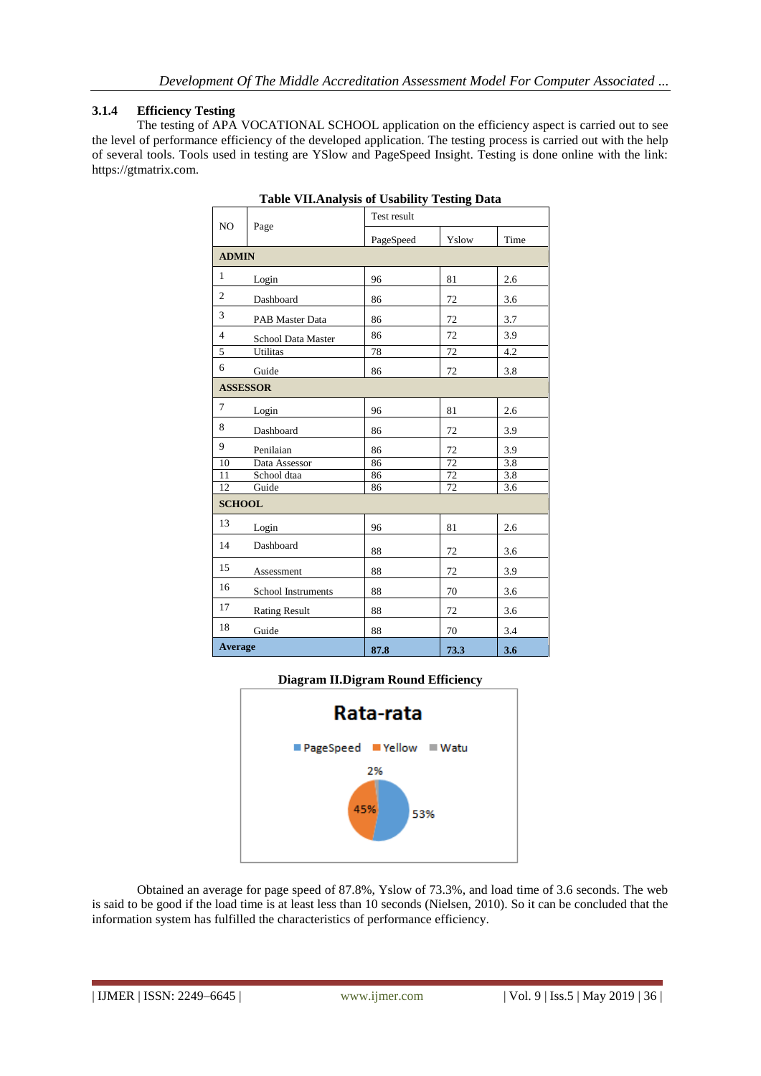# **3.1.4 Efficiency Testing**

The testing of APA VOCATIONAL SCHOOL application on the efficiency aspect is carried out to see the level of performance efficiency of the developed application. The testing process is carried out with the help of several tools. Tools used in testing are YSlow and PageSpeed Insight. Testing is done online with the link: https://gtmatrix.com.

| NO.             |                      | Test result |       |      |  |  |  |
|-----------------|----------------------|-------------|-------|------|--|--|--|
|                 | Page                 | PageSpeed   | Yslow | Time |  |  |  |
| <b>ADMIN</b>    |                      |             |       |      |  |  |  |
| $\mathbf{1}$    | Login                | 96          | 81    | 2.6  |  |  |  |
| $\overline{c}$  | Dashboard            | 86          | 72    | 3.6  |  |  |  |
| 3               | PAB Master Data      | 86          | 72    | 3.7  |  |  |  |
| $\overline{4}$  | School Data Master   | 86          | 72    | 3.9  |  |  |  |
| 5               | <b>Utilitas</b>      | 78          | 72    | 4.2  |  |  |  |
| 6               | Guide                | 86          | 72    | 3.8  |  |  |  |
| <b>ASSESSOR</b> |                      |             |       |      |  |  |  |
| $\overline{7}$  | Login                | 96          | 81    | 2.6  |  |  |  |
| 8               | Dashboard            | 86          | 72    | 3.9  |  |  |  |
| 9               | Penilaian            | 86          | 72    | 3.9  |  |  |  |
| 10              | Data Assessor        | 86          | 72    | 3.8  |  |  |  |
| 11              | School dtaa          | 86          | 72    | 3.8  |  |  |  |
| 12              | Guide                | 86          | 72    | 3.6  |  |  |  |
| <b>SCHOOL</b>   |                      |             |       |      |  |  |  |
| 13              | Login                | 96          | 81    | 2.6  |  |  |  |
| 14              | Dashboard            | 88          | 72    | 3.6  |  |  |  |
| 15              | Assessment           | 88          | 72    | 3.9  |  |  |  |
| 16              | School Instruments   | 88          | 70    | 3.6  |  |  |  |
| 17              | <b>Rating Result</b> | 88          | 72    | 3.6  |  |  |  |
| 18              | Guide                | 88          | 70    | 3.4  |  |  |  |
| <b>Average</b>  |                      | 87.8        | 73.3  | 3.6  |  |  |  |

**Table VII.Analysis of Usability Testing Data**

# **Diagram II.Digram Round Efficiency**



Obtained an average for page speed of 87.8%, Yslow of 73.3%, and load time of 3.6 seconds. The web is said to be good if the load time is at least less than 10 seconds (Nielsen, 2010). So it can be concluded that the information system has fulfilled the characteristics of performance efficiency.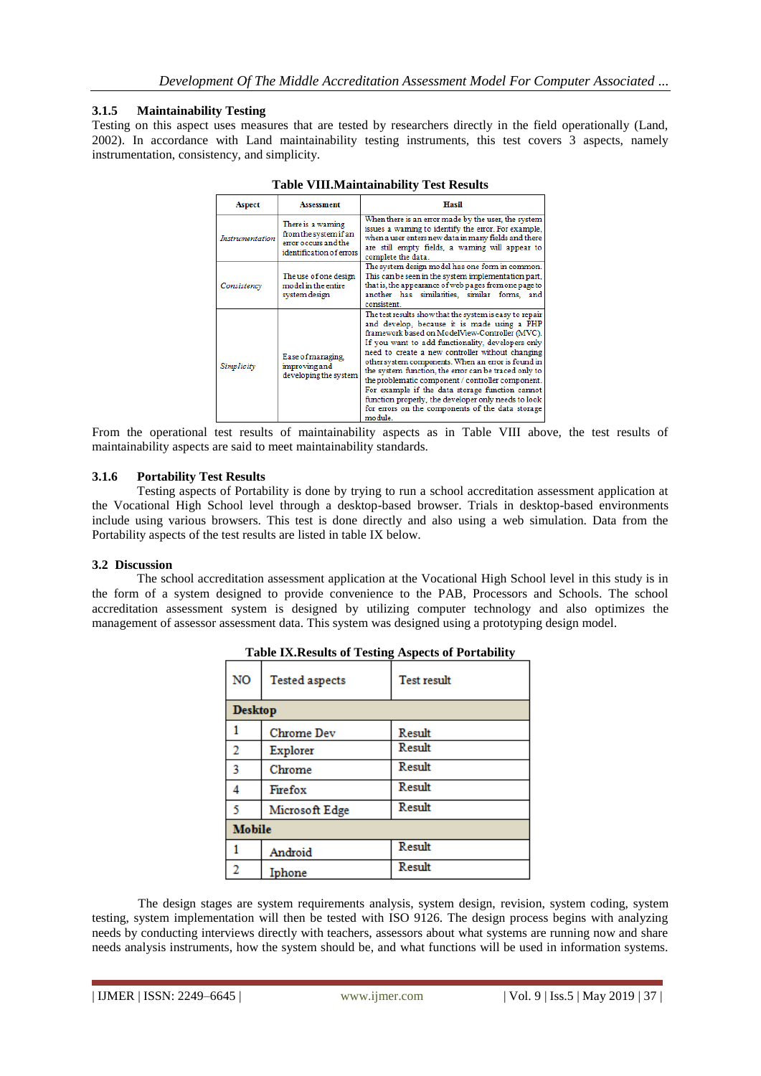# **3.1.5 Maintainability Testing**

Testing on this aspect uses measures that are tested by researchers directly in the field operationally (Land, 2002). In accordance with Land maintainability testing instruments, this test covers 3 aspects, namely instrumentation, consistency, and simplicity.

| <b>Aspect</b>   | <b>Assessment</b>                                                                               | Hasil                                                                                                                                                                                                                                                                                                                                                                                                                                                                                                                                                                                                         |
|-----------------|-------------------------------------------------------------------------------------------------|---------------------------------------------------------------------------------------------------------------------------------------------------------------------------------------------------------------------------------------------------------------------------------------------------------------------------------------------------------------------------------------------------------------------------------------------------------------------------------------------------------------------------------------------------------------------------------------------------------------|
| Instrumentation | There is a warning<br>from the system if an<br>error occurs and the<br>identification of errors | When there is an error made by the user, the system<br>issues a warning to identify the error. For example,<br>when a user enters new data in many fields and there<br>are still empty fields, a warning will appear to<br>complete the data.                                                                                                                                                                                                                                                                                                                                                                 |
| Consistency     | The use of one design<br>model in the entire<br>system design                                   | The system design model has one form in common.<br>This can be seen in the system implementation part,<br>that is, the appearance of web pages from one page to<br>another has similarities, similar forms, and<br>consistent                                                                                                                                                                                                                                                                                                                                                                                 |
| Simplicity      | Ease of managing.<br>improving and<br>developing the system                                     | The test results show that the system is easy to repair<br>and develop, because it is made using a PHP<br>framework based on ModelView-Controller (MVC).<br>If you want to add functionality, developers only<br>need to create a new controller without changing<br>other system components. When an error is found in<br>the system function, the error can be traced only to<br>the problematic component / controller component.<br>For example if the data storage function cannot<br>function properly, the developer only needs to look<br>for errors on the components of the data storage<br>module. |

| <b>Table VIII. Maintainability Test Results</b> |
|-------------------------------------------------|
|-------------------------------------------------|

From the operational test results of maintainability aspects as in Table VIII above, the test results of maintainability aspects are said to meet maintainability standards.

## **3.1.6 Portability Test Results**

Testing aspects of Portability is done by trying to run a school accreditation assessment application at the Vocational High School level through a desktop-based browser. Trials in desktop-based environments include using various browsers. This test is done directly and also using a web simulation. Data from the Portability aspects of the test results are listed in table IX below.

# **3.2 Discussion**

The school accreditation assessment application at the Vocational High School level in this study is in the form of a system designed to provide convenience to the PAB, Processors and Schools. The school accreditation assessment system is designed by utilizing computer technology and also optimizes the management of assessor assessment data. This system was designed using a prototyping design model.

| N <sub>O</sub> | <b>Tested aspects</b> | <b>Test result</b> |  |  |  |  |
|----------------|-----------------------|--------------------|--|--|--|--|
| <b>Desktop</b> |                       |                    |  |  |  |  |
| 1              | <b>Chrome Dev</b>     | Result             |  |  |  |  |
| 2              | Explorer              | Result             |  |  |  |  |
| 3              | Chrome                | Result             |  |  |  |  |
| 4              | Firefox               | Result             |  |  |  |  |
| 5              | Microsoft Edge        | Result             |  |  |  |  |
| <b>Mobile</b>  |                       |                    |  |  |  |  |
|                | Android               | Result             |  |  |  |  |
| 2              | Iphone                | Result             |  |  |  |  |

The design stages are system requirements analysis, system design, revision, system coding, system testing, system implementation will then be tested with ISO 9126. The design process begins with analyzing needs by conducting interviews directly with teachers, assessors about what systems are running now and share needs analysis instruments, how the system should be, and what functions will be used in information systems.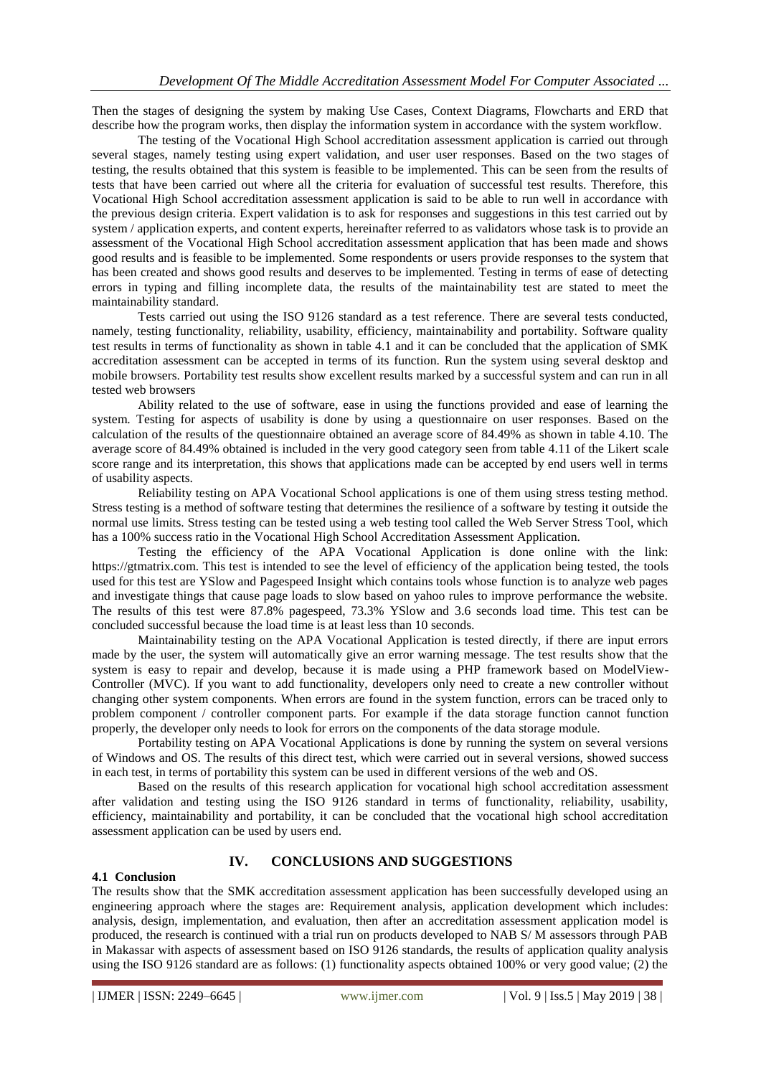Then the stages of designing the system by making Use Cases, Context Diagrams, Flowcharts and ERD that describe how the program works, then display the information system in accordance with the system workflow.

The testing of the Vocational High School accreditation assessment application is carried out through several stages, namely testing using expert validation, and user user responses. Based on the two stages of testing, the results obtained that this system is feasible to be implemented. This can be seen from the results of tests that have been carried out where all the criteria for evaluation of successful test results. Therefore, this Vocational High School accreditation assessment application is said to be able to run well in accordance with the previous design criteria. Expert validation is to ask for responses and suggestions in this test carried out by system / application experts, and content experts, hereinafter referred to as validators whose task is to provide an assessment of the Vocational High School accreditation assessment application that has been made and shows good results and is feasible to be implemented. Some respondents or users provide responses to the system that has been created and shows good results and deserves to be implemented. Testing in terms of ease of detecting errors in typing and filling incomplete data, the results of the maintainability test are stated to meet the maintainability standard.

Tests carried out using the ISO 9126 standard as a test reference. There are several tests conducted, namely, testing functionality, reliability, usability, efficiency, maintainability and portability. Software quality test results in terms of functionality as shown in table 4.1 and it can be concluded that the application of SMK accreditation assessment can be accepted in terms of its function. Run the system using several desktop and mobile browsers. Portability test results show excellent results marked by a successful system and can run in all tested web browsers

Ability related to the use of software, ease in using the functions provided and ease of learning the system. Testing for aspects of usability is done by using a questionnaire on user responses. Based on the calculation of the results of the questionnaire obtained an average score of 84.49% as shown in table 4.10. The average score of 84.49% obtained is included in the very good category seen from table 4.11 of the Likert scale score range and its interpretation, this shows that applications made can be accepted by end users well in terms of usability aspects.

Reliability testing on APA Vocational School applications is one of them using stress testing method. Stress testing is a method of software testing that determines the resilience of a software by testing it outside the normal use limits. Stress testing can be tested using a web testing tool called the Web Server Stress Tool, which has a 100% success ratio in the Vocational High School Accreditation Assessment Application.

Testing the efficiency of the APA Vocational Application is done online with the link: https://gtmatrix.com. This test is intended to see the level of efficiency of the application being tested, the tools used for this test are YSlow and Pagespeed Insight which contains tools whose function is to analyze web pages and investigate things that cause page loads to slow based on yahoo rules to improve performance the website. The results of this test were 87.8% pagespeed, 73.3% YSlow and 3.6 seconds load time. This test can be concluded successful because the load time is at least less than 10 seconds.

Maintainability testing on the APA Vocational Application is tested directly, if there are input errors made by the user, the system will automatically give an error warning message. The test results show that the system is easy to repair and develop, because it is made using a PHP framework based on ModelView-Controller (MVC). If you want to add functionality, developers only need to create a new controller without changing other system components. When errors are found in the system function, errors can be traced only to problem component / controller component parts. For example if the data storage function cannot function properly, the developer only needs to look for errors on the components of the data storage module.

Portability testing on APA Vocational Applications is done by running the system on several versions of Windows and OS. The results of this direct test, which were carried out in several versions, showed success in each test, in terms of portability this system can be used in different versions of the web and OS.

Based on the results of this research application for vocational high school accreditation assessment after validation and testing using the ISO 9126 standard in terms of functionality, reliability, usability, efficiency, maintainability and portability, it can be concluded that the vocational high school accreditation assessment application can be used by users end.

# **IV. CONCLUSIONS AND SUGGESTIONS**

## **4.1 Conclusion**

The results show that the SMK accreditation assessment application has been successfully developed using an engineering approach where the stages are: Requirement analysis, application development which includes: analysis, design, implementation, and evaluation, then after an accreditation assessment application model is produced, the research is continued with a trial run on products developed to NAB S/ M assessors through PAB in Makassar with aspects of assessment based on ISO 9126 standards, the results of application quality analysis using the ISO 9126 standard are as follows: (1) functionality aspects obtained 100% or very good value; (2) the